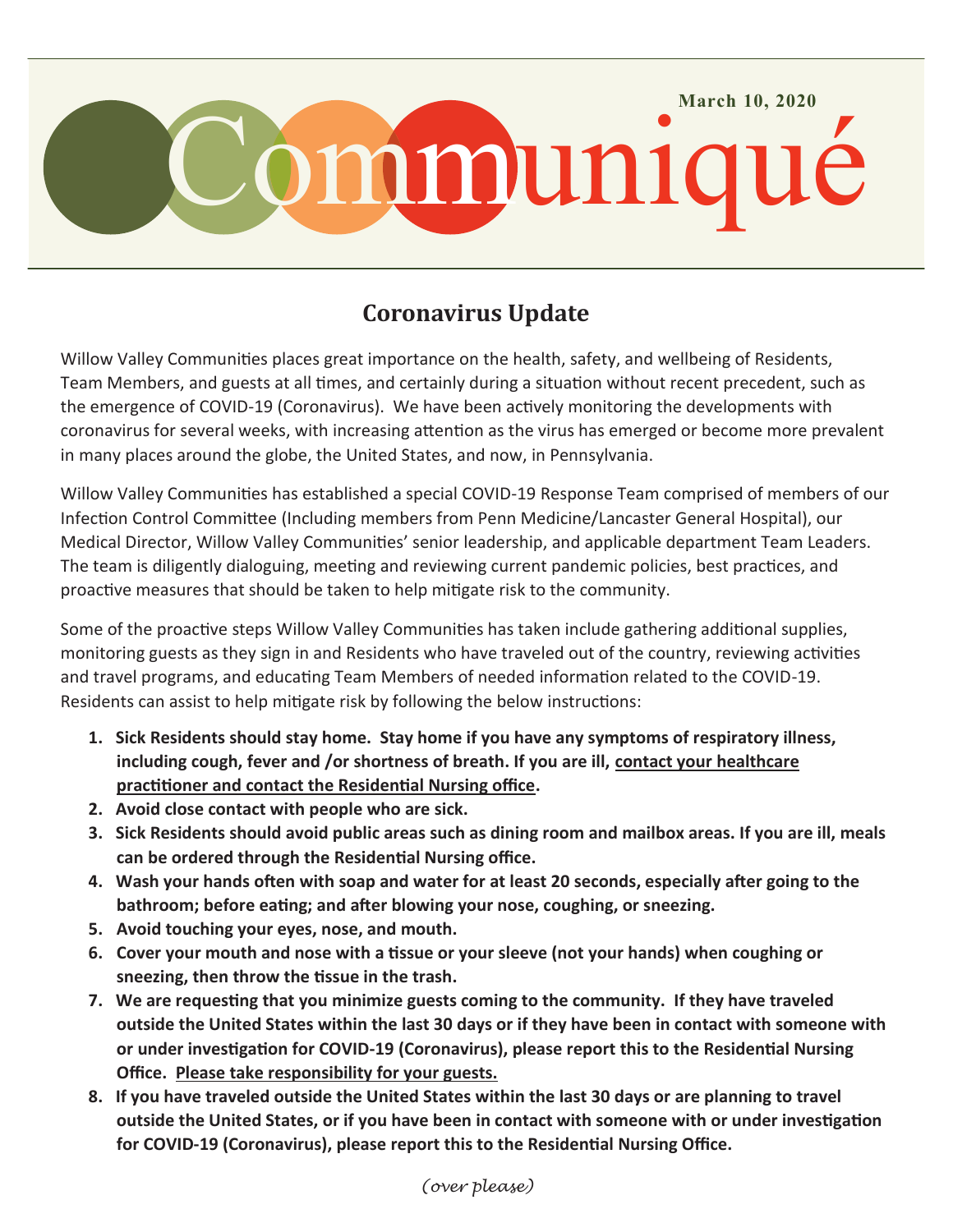

## **Coronavirus Update**

Willow Valley Communities places great importance on the health, safety, and wellbeing of Residents, Team Members, and guests at all times, and certainly during a situation without recent precedent, such as the emergence of COVID-19 (Coronavirus). We have been actively monitoring the developments with coronavirus for several weeks, with increasing attention as the virus has emerged or become more prevalent in many places around the globe, the United States, and now, in Pennsylvania.

Willow Valley Communities has established a special COVID-19 Response Team comprised of members of our Infection Control Committee (Including members from Penn Medicine/Lancaster General Hospital), our Medical Director, Willow Valley Communities' senior leadership, and applicable department Team Leaders. The team is diligently dialoguing, meeting and reviewing current pandemic policies, best practices, and proactive measures that should be taken to help mitigate risk to the community.

Some of the proactive steps Willow Valley Communities has taken include gathering additional supplies, monitoring guests as they sign in and Residents who have traveled out of the country, reviewing activities and travel programs, and educating Team Members of needed information related to the COVID-19. Residents can assist to help mitigate risk by following the below instructions:

- **1. Sick Residents should stay home. Stay home if you have any symptoms of respiratory illness, including cough, fever and /or shortness of breath. If you are ill, contact your healthcare practitioner and contact the Residential Nursing office.**
- **2. Avoid close contact with people who are sick.**
- **3. Sick Residents should avoid public areas such as dining room and mailbox areas. If you are ill, meals can be ordered through the Residential Nursing office.**
- **4. Wash your hands often with soap and water for at least 20 seconds, especially after going to the bathroom; before eating; and after blowing your nose, coughing, or sneezing.**
- **5. Avoid touching your eyes, nose, and mouth.**
- **6. Cover your mouth and nose with a tissue or your sleeve (not your hands) when coughing or sneezing, then throw the tissue in the trash.**
- **7. We are requesting that you minimize guests coming to the community. If they have traveled outside the United States within the last 30 days or if they have been in contact with someone with or under investigation for COVID-19 (Coronavirus), please report this to the Residential Nursing Office. Please take responsibility for your guests.**
- **8. If you have traveled outside the United States within the last 30 days or are planning to travel outside the United States, or if you have been in contact with someone with or under investigation for COVID-19 (Coronavirus), please report this to the Residential Nursing Office.**